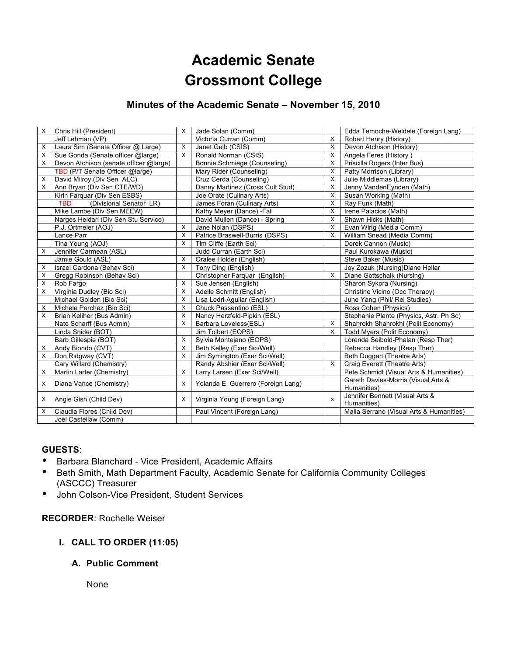# **Academic Senate Grossmont College**

## **Minutes of the Academic Senate – November 15, 2010**

| X | Chris Hill (President)                 | X        | Jade Solan (Comm)                  |              | Edda Temoche-Weldele (Foreign Lang)      |
|---|----------------------------------------|----------|------------------------------------|--------------|------------------------------------------|
|   | Jeff Lehman (VP)                       |          | Victoria Curran (Comm)             | X            | Robert Henry (History)                   |
| X | Laura Sim (Senate Officer @ Large)     | X        | Janet Gelb (CSIS)                  | X            | Devon Atchison (History)                 |
| X | Sue Gonda (Senate officer @large)      | $\times$ | Ronald Norman (CSIS)               | X            | Angela Feres (History)                   |
| X | Devon Atchison (senate officer @large) |          | Bonnie Schmiege (Counseling)       | X            | Priscilla Rogers (Inter Bus)             |
|   | TBD (P/T Senate Officer @large)        |          | Mary Rider (Counseling)            | X            | Patty Morrison (Library)                 |
| X | David Milroy (Div Sen ALC)             |          | Cruz Cerda (Counseling)            | X            | Julie Middlemas (Library)                |
| X | Ann Bryan (Div Sen CTE/WD)             |          | Danny Martinez (Cross Cult Stud)   | X            | Jenny VandenEynden (Math)                |
|   | Kirin Farquar (Div Sen ESBS)           |          | Joe Orate (Culinary Arts)          | X            | Susan Working (Math)                     |
|   | <b>TBD</b><br>(Divisional Senator LR)  |          | James Foran (Culinary Arts)        | X            | Ray Funk (Math)                          |
|   | Mike Lambe (Div Sen MEEW)              |          | Kathy Meyer (Dance) - Fall         | X            | Irene Palacios (Math)                    |
|   | Narges Heidari (Div Sen Stu Service)   |          | David Mullen (Dance) - Spring      | X            | Shawn Hicks (Math)                       |
|   | P.J. Ortmeier (AOJ)                    | X        | Jane Nolan (DSPS)                  | X            | Evan Wirig (Media Comm)                  |
|   | Lance Parr                             | $\times$ | Patrice Braswell-Burris (DSPS)     | X            | William Snead (Media Comm)               |
|   | Tina Young (AOJ)                       | X        | Tim Cliffe (Earth Sci)             |              | Derek Cannon (Music)                     |
| X | Jennifer Carmean (ASL)                 |          | Judd Curran (Earth Sci)            |              | Paul Kurokawa (Music)                    |
|   | Jamie Gould (ASL)                      | $\times$ | Oralee Holder (English)            |              | Steve Baker (Music)                      |
| X | Israel Cardona (Behav Sci)             | X        | Tony Ding (English)                |              | Joy Zozuk (Nursing) Diane Hellar         |
| X | Gregg Robinson (Behav Sci)             |          | Christopher Farquar (English)      | X            | Diane Gottschalk (Nursing)               |
| X | Rob Fargo                              | X        | Sue Jensen (English)               |              | Sharon Sykora (Nursing)                  |
| X | Virginia Dudley (Bio Sci)              | X        | Adelle Schmitt (English)           |              | Christine Vicino (Occ Therapy)           |
|   | Michael Golden (Bio Sci)               | X        | Lisa Ledri-Aguilar (English)       |              | June Yang (Phil/ Rel Studies)            |
| X | Michele Perchez (Bio Sci)              | $\times$ | Chuck Passentino (ESL)             |              | Ross Cohen (Physics)                     |
| X | Brian Keliher (Bus Admin)              | $\times$ | Nancy Herzfeld-Pipkin (ESL)        |              | Stephanie Plante (Physics, Astr. Ph Sc)  |
|   | Nate Scharff (Bus Admin)               | $\times$ | Barbara Loveless(ESL)              | X            | Shahrokh Shahrokhi (Polit Economy)       |
|   | Linda Snider (BOT)                     |          | Jim Tolbert (EOPS)                 | X            | Todd Myers (Polit Economy)               |
|   | Barb Gillespie (BOT)                   | X        | Sylvia Montejano (EOPS)            |              | Lorenda Seibold-Phalan (Resp Ther)       |
| X | Andy Biondo (CVT)                      | $\times$ | Beth Kelley (Exer Sci/Well)        |              | Rebecca Handley (Resp Ther)              |
| X | Don Ridgway (CVT)                      | $\times$ | Jim Symington (Exer Sci/Well)      |              | Beth Duggan (Theatre Arts)               |
|   | Cary Willard (Chemistry)               |          | Randy Abshier (Exer Sci/Well)      | X            | Craig Everett (Theatre Arts)             |
| X | Martin Larter (Chemistry)              | X        | Larry Larsen (Exer Sci/Well)       |              | Pete Schmidt (Visual Arts & Humanities)  |
| X |                                        | X        |                                    |              | Gareth Davies-Morris (Visual Arts &      |
|   | Diana Vance (Chemistry)                |          | Yolanda E. Guerrero (Foreign Lang) |              | Humanities)                              |
| X | Angie Gish (Child Dev)                 | $\times$ | Virginia Young (Foreign Lang)      | $\mathsf{x}$ | Jennifer Bennett (Visual Arts &          |
|   |                                        |          |                                    |              | Humanities)                              |
| X | Claudia Flores (Child Dev)             |          | Paul Vincent (Foreign Lang)        |              | Malia Serrano (Visual Arts & Humanities) |
|   | Joel Castellaw (Comm)                  |          |                                    |              |                                          |

#### **GUESTS**:

- Barbara Blanchard Vice President, Academic Affairs
- Beth Smith, Math Department Faculty, Academic Senate for California Community Colleges (ASCCC) Treasurer
- John Colson-Vice President, Student Services

## **RECORDER**: Rochelle Weiser

**I. CALL TO ORDER (11:05)**

## **A. Public Comment**

None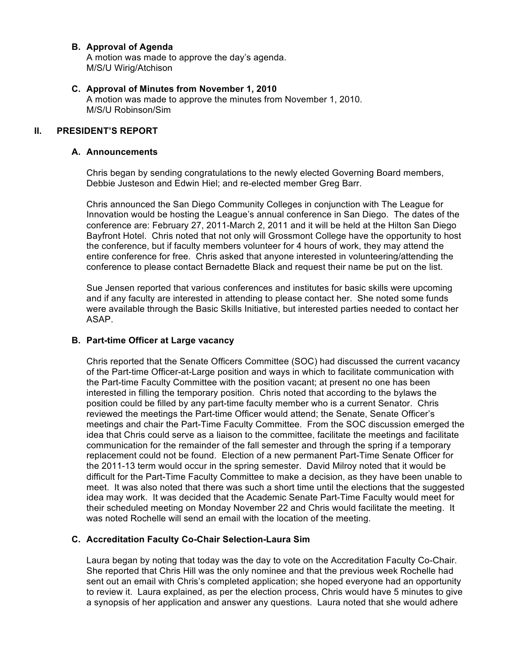#### **B. Approval of Agenda**

A motion was made to approve the day's agenda. M/S/U Wirig/Atchison

#### **C. Approval of Minutes from November 1, 2010**

A motion was made to approve the minutes from November 1, 2010. M/S/U Robinson/Sim

#### **II. PRESIDENT'S REPORT**

#### **A. Announcements**

Chris began by sending congratulations to the newly elected Governing Board members, Debbie Justeson and Edwin Hiel; and re-elected member Greg Barr.

Chris announced the San Diego Community Colleges in conjunction with The League for Innovation would be hosting the League's annual conference in San Diego. The dates of the conference are: February 27, 2011-March 2, 2011 and it will be held at the Hilton San Diego Bayfront Hotel. Chris noted that not only will Grossmont College have the opportunity to host the conference, but if faculty members volunteer for 4 hours of work, they may attend the entire conference for free. Chris asked that anyone interested in volunteering/attending the conference to please contact Bernadette Black and request their name be put on the list.

Sue Jensen reported that various conferences and institutes for basic skills were upcoming and if any faculty are interested in attending to please contact her. She noted some funds were available through the Basic Skills Initiative, but interested parties needed to contact her ASAP.

#### **B. Part-time Officer at Large vacancy**

Chris reported that the Senate Officers Committee (SOC) had discussed the current vacancy of the Part-time Officer-at-Large position and ways in which to facilitate communication with the Part-time Faculty Committee with the position vacant; at present no one has been interested in filling the temporary position. Chris noted that according to the bylaws the position could be filled by any part-time faculty member who is a current Senator. Chris reviewed the meetings the Part-time Officer would attend; the Senate, Senate Officer's meetings and chair the Part-Time Faculty Committee. From the SOC discussion emerged the idea that Chris could serve as a liaison to the committee, facilitate the meetings and facilitate communication for the remainder of the fall semester and through the spring if a temporary replacement could not be found. Election of a new permanent Part-Time Senate Officer for the 2011-13 term would occur in the spring semester. David Milroy noted that it would be difficult for the Part-Time Faculty Committee to make a decision, as they have been unable to meet. It was also noted that there was such a short time until the elections that the suggested idea may work. It was decided that the Academic Senate Part-Time Faculty would meet for their scheduled meeting on Monday November 22 and Chris would facilitate the meeting. It was noted Rochelle will send an email with the location of the meeting.

#### **C. Accreditation Faculty Co-Chair Selection-Laura Sim**

Laura began by noting that today was the day to vote on the Accreditation Faculty Co-Chair. She reported that Chris Hill was the only nominee and that the previous week Rochelle had sent out an email with Chris's completed application; she hoped everyone had an opportunity to review it. Laura explained, as per the election process, Chris would have 5 minutes to give a synopsis of her application and answer any questions. Laura noted that she would adhere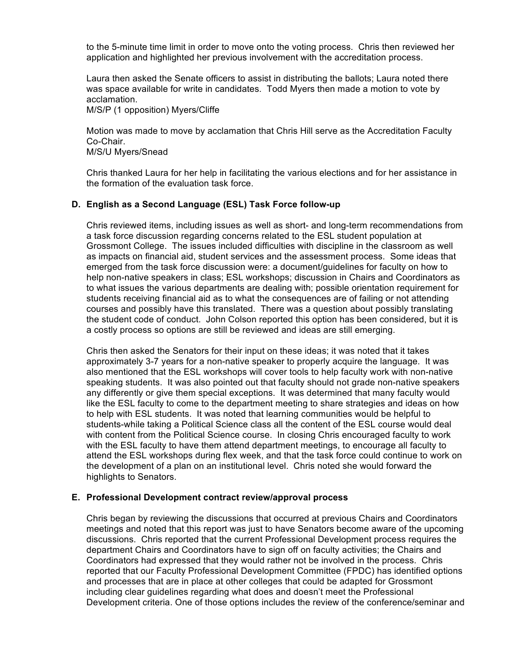to the 5-minute time limit in order to move onto the voting process. Chris then reviewed her application and highlighted her previous involvement with the accreditation process.

Laura then asked the Senate officers to assist in distributing the ballots; Laura noted there was space available for write in candidates. Todd Myers then made a motion to vote by acclamation.

M/S/P (1 opposition) Myers/Cliffe

Motion was made to move by acclamation that Chris Hill serve as the Accreditation Faculty Co-Chair.

M/S/U Myers/Snead

Chris thanked Laura for her help in facilitating the various elections and for her assistance in the formation of the evaluation task force.

## **D. English as a Second Language (ESL) Task Force follow-up**

Chris reviewed items, including issues as well as short- and long-term recommendations from a task force discussion regarding concerns related to the ESL student population at Grossmont College. The issues included difficulties with discipline in the classroom as well as impacts on financial aid, student services and the assessment process. Some ideas that emerged from the task force discussion were: a document/guidelines for faculty on how to help non-native speakers in class; ESL workshops; discussion in Chairs and Coordinators as to what issues the various departments are dealing with; possible orientation requirement for students receiving financial aid as to what the consequences are of failing or not attending courses and possibly have this translated. There was a question about possibly translating the student code of conduct. John Colson reported this option has been considered, but it is a costly process so options are still be reviewed and ideas are still emerging.

Chris then asked the Senators for their input on these ideas; it was noted that it takes approximately 3-7 years for a non-native speaker to properly acquire the language. It was also mentioned that the ESL workshops will cover tools to help faculty work with non-native speaking students. It was also pointed out that faculty should not grade non-native speakers any differently or give them special exceptions. It was determined that many faculty would like the ESL faculty to come to the department meeting to share strategies and ideas on how to help with ESL students. It was noted that learning communities would be helpful to students-while taking a Political Science class all the content of the ESL course would deal with content from the Political Science course. In closing Chris encouraged faculty to work with the ESL faculty to have them attend department meetings, to encourage all faculty to attend the ESL workshops during flex week, and that the task force could continue to work on the development of a plan on an institutional level. Chris noted she would forward the highlights to Senators.

#### **E. Professional Development contract review/approval process**

Chris began by reviewing the discussions that occurred at previous Chairs and Coordinators meetings and noted that this report was just to have Senators become aware of the upcoming discussions. Chris reported that the current Professional Development process requires the department Chairs and Coordinators have to sign off on faculty activities; the Chairs and Coordinators had expressed that they would rather not be involved in the process. Chris reported that our Faculty Professional Development Committee (FPDC) has identified options and processes that are in place at other colleges that could be adapted for Grossmont including clear guidelines regarding what does and doesn't meet the Professional Development criteria. One of those options includes the review of the conference/seminar and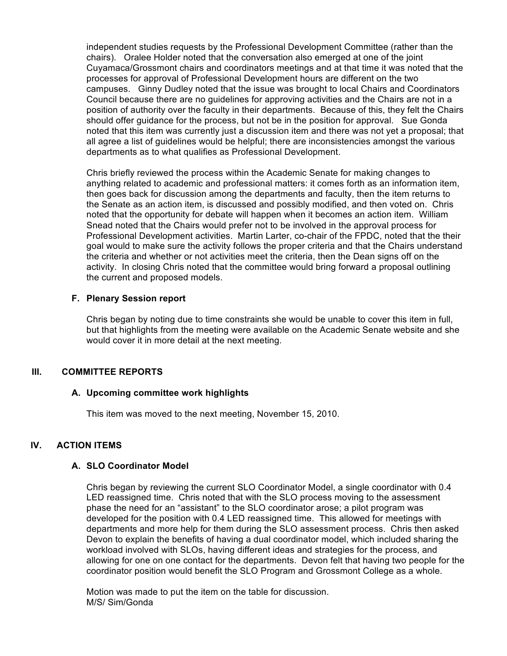independent studies requests by the Professional Development Committee (rather than the chairs). Oralee Holder noted that the conversation also emerged at one of the joint Cuyamaca/Grossmont chairs and coordinators meetings and at that time it was noted that the processes for approval of Professional Development hours are different on the two campuses. Ginny Dudley noted that the issue was brought to local Chairs and Coordinators Council because there are no guidelines for approving activities and the Chairs are not in a position of authority over the faculty in their departments. Because of this, they felt the Chairs should offer guidance for the process, but not be in the position for approval. Sue Gonda noted that this item was currently just a discussion item and there was not yet a proposal; that all agree a list of guidelines would be helpful; there are inconsistencies amongst the various departments as to what qualifies as Professional Development.

Chris briefly reviewed the process within the Academic Senate for making changes to anything related to academic and professional matters: it comes forth as an information item, then goes back for discussion among the departments and faculty, then the item returns to the Senate as an action item, is discussed and possibly modified, and then voted on. Chris noted that the opportunity for debate will happen when it becomes an action item. William Snead noted that the Chairs would prefer not to be involved in the approval process for Professional Development activities. Martin Larter, co-chair of the FPDC, noted that the their goal would to make sure the activity follows the proper criteria and that the Chairs understand the criteria and whether or not activities meet the criteria, then the Dean signs off on the activity. In closing Chris noted that the committee would bring forward a proposal outlining the current and proposed models.

#### **F. Plenary Session report**

Chris began by noting due to time constraints she would be unable to cover this item in full, but that highlights from the meeting were available on the Academic Senate website and she would cover it in more detail at the next meeting.

## **III. COMMITTEE REPORTS**

#### **A. Upcoming committee work highlights**

This item was moved to the next meeting, November 15, 2010.

## **IV. ACTION ITEMS**

#### **A. SLO Coordinator Model**

Chris began by reviewing the current SLO Coordinator Model, a single coordinator with 0.4 LED reassigned time. Chris noted that with the SLO process moving to the assessment phase the need for an "assistant" to the SLO coordinator arose; a pilot program was developed for the position with 0.4 LED reassigned time. This allowed for meetings with departments and more help for them during the SLO assessment process. Chris then asked Devon to explain the benefits of having a dual coordinator model, which included sharing the workload involved with SLOs, having different ideas and strategies for the process, and allowing for one on one contact for the departments. Devon felt that having two people for the coordinator position would benefit the SLO Program and Grossmont College as a whole.

Motion was made to put the item on the table for discussion. M/S/ Sim/Gonda